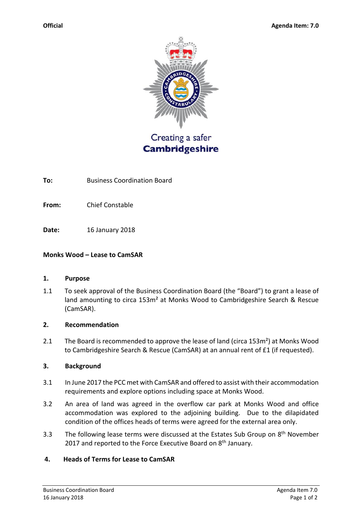

Creating a safer **Cambridgeshire** 

**To:** Business Coordination Board

**From:** Chief Constable

**Date:** 16 January 2018

## **Monks Wood – Lease to CamSAR**

### **1. Purpose**

1.1 To seek approval of the Business Coordination Board (the "Board") to grant a lease of land amounting to circa 153m<sup>2</sup> at Monks Wood to Cambridgeshire Search & Rescue (CamSAR).

### **2. Recommendation**

2.1 The Board is recommended to approve the lease of land (circa 153m<sup>2</sup>) at Monks Wood to Cambridgeshire Search & Rescue (CamSAR) at an annual rent of £1 (if requested).

### **3. Background**

- 3.1 In June 2017 the PCC met with CamSAR and offered to assist with their accommodation requirements and explore options including space at Monks Wood.
- 3.2 An area of land was agreed in the overflow car park at Monks Wood and office accommodation was explored to the adjoining building. Due to the dilapidated condition of the offices heads of terms were agreed for the external area only.
- 3.3 The following lease terms were discussed at the Estates Sub Group on 8<sup>th</sup> November 2017 and reported to the Force Executive Board on 8<sup>th</sup> January.

## **4. Heads of Terms for Lease to CamSAR**